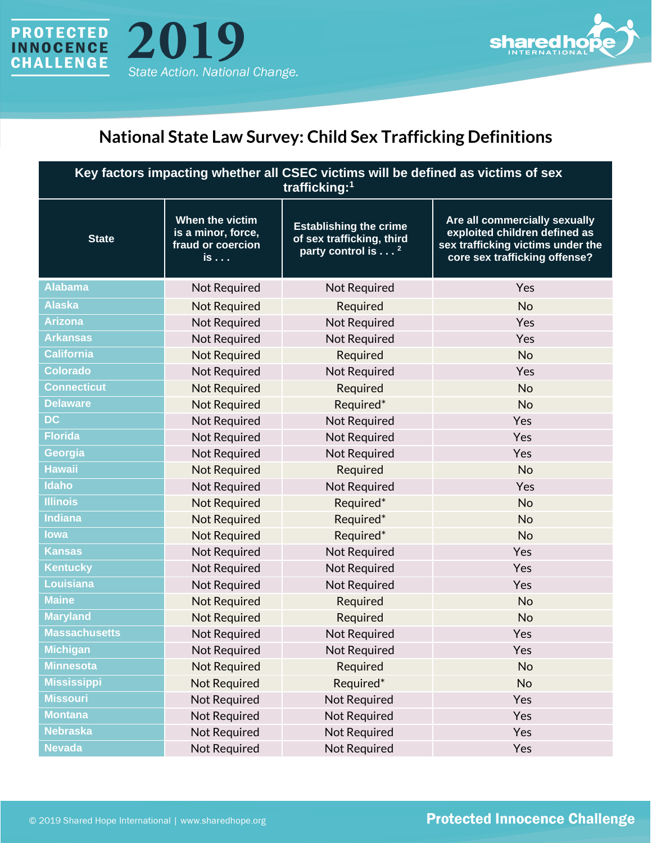



## **National State Law Survey: Child Sex Trafficking Definitions**

| Key factors impacting whether all CSEC victims will be defined as victims of sex<br>trafficking: <sup>1</sup> |                                                                  |                                                                                             |                                                                                                                                      |  |
|---------------------------------------------------------------------------------------------------------------|------------------------------------------------------------------|---------------------------------------------------------------------------------------------|--------------------------------------------------------------------------------------------------------------------------------------|--|
| <b>State</b>                                                                                                  | When the victim<br>is a minor, force,<br>fraud or coercion<br>is | <b>Establishing the crime</b><br>of sex trafficking, third<br>party control is <sup>2</sup> | Are all commercially sexually<br>exploited children defined as<br>sex trafficking victims under the<br>core sex trafficking offense? |  |
| <b>Alabama</b>                                                                                                | Not Required                                                     | Not Required                                                                                | Yes                                                                                                                                  |  |
| <b>Alaska</b>                                                                                                 | <b>Not Required</b>                                              | Required                                                                                    | <b>No</b>                                                                                                                            |  |
| <b>Arizona</b>                                                                                                | Not Required                                                     | Not Required                                                                                | Yes                                                                                                                                  |  |
| <b>Arkansas</b>                                                                                               | <b>Not Required</b>                                              | Not Required                                                                                | Yes                                                                                                                                  |  |
| <b>California</b>                                                                                             | <b>Not Required</b>                                              | Required                                                                                    | <b>No</b>                                                                                                                            |  |
| <b>Colorado</b>                                                                                               | <b>Not Required</b>                                              | Not Required                                                                                | Yes                                                                                                                                  |  |
| <b>Connecticut</b>                                                                                            | <b>Not Required</b>                                              | Required                                                                                    | <b>No</b>                                                                                                                            |  |
| <b>Delaware</b>                                                                                               | <b>Not Required</b>                                              | Required*                                                                                   | <b>No</b>                                                                                                                            |  |
| <b>DC</b>                                                                                                     | <b>Not Required</b>                                              | Not Required                                                                                | Yes                                                                                                                                  |  |
| <b>Florida</b>                                                                                                | Not Required                                                     | Not Required                                                                                | Yes                                                                                                                                  |  |
| Georgia                                                                                                       | <b>Not Required</b>                                              | Not Required                                                                                | Yes                                                                                                                                  |  |
| <b>Hawaii</b>                                                                                                 | <b>Not Required</b>                                              | Required                                                                                    | <b>No</b>                                                                                                                            |  |
| <b>Idaho</b>                                                                                                  | <b>Not Required</b>                                              | Not Required                                                                                | Yes                                                                                                                                  |  |
| <b>Illinois</b>                                                                                               | <b>Not Required</b>                                              | Required*                                                                                   | <b>No</b>                                                                                                                            |  |
| <b>Indiana</b>                                                                                                | <b>Not Required</b>                                              | Required*                                                                                   | <b>No</b>                                                                                                                            |  |
| lowa                                                                                                          | <b>Not Required</b>                                              | Required*                                                                                   | <b>No</b>                                                                                                                            |  |
| <b>Kansas</b>                                                                                                 | Not Required                                                     | Not Required                                                                                | Yes                                                                                                                                  |  |
| <b>Kentucky</b>                                                                                               | <b>Not Required</b>                                              | Not Required                                                                                | Yes                                                                                                                                  |  |
| Louisiana                                                                                                     | <b>Not Required</b>                                              | Not Required                                                                                | Yes                                                                                                                                  |  |
| <b>Maine</b>                                                                                                  | <b>Not Required</b>                                              | Required                                                                                    | <b>No</b>                                                                                                                            |  |
| <b>Maryland</b>                                                                                               | <b>Not Required</b>                                              | Required                                                                                    | <b>No</b>                                                                                                                            |  |
| <b>Massachusetts</b>                                                                                          | <b>Not Required</b>                                              | <b>Not Required</b>                                                                         | Yes                                                                                                                                  |  |
| <b>Michigan</b>                                                                                               | <b>Not Required</b>                                              | Not Required                                                                                | Yes                                                                                                                                  |  |
| <b>Minnesota</b>                                                                                              | <b>Not Required</b>                                              | Required                                                                                    | No                                                                                                                                   |  |
| <b>Mississippi</b>                                                                                            | <b>Not Required</b>                                              | Required*                                                                                   | <b>No</b>                                                                                                                            |  |
| <b>Missouri</b>                                                                                               | Not Required                                                     | Not Required                                                                                | Yes                                                                                                                                  |  |
| <b>Montana</b>                                                                                                | Not Required                                                     | Not Required                                                                                | Yes                                                                                                                                  |  |
| <b>Nebraska</b>                                                                                               | <b>Not Required</b>                                              | Not Required                                                                                | Yes                                                                                                                                  |  |
| <b>Nevada</b>                                                                                                 | Not Required                                                     | <b>Not Required</b>                                                                         | Yes                                                                                                                                  |  |